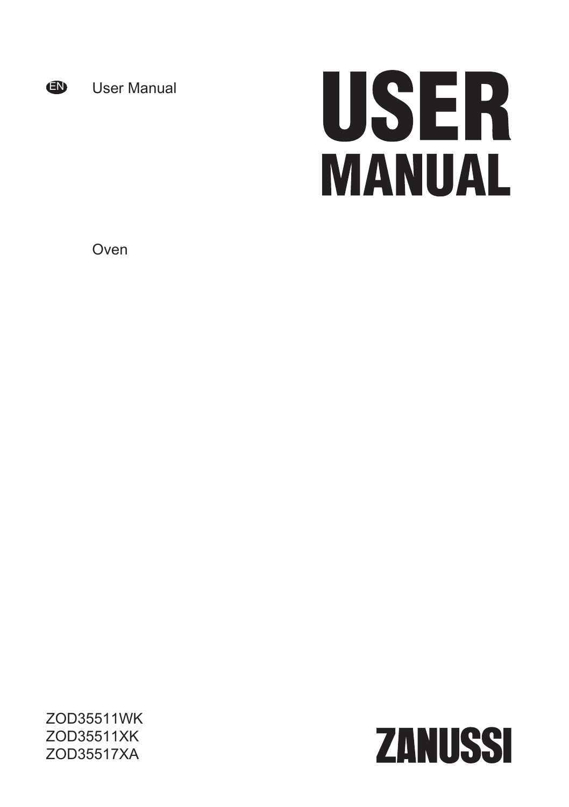

User Manual

# USER **MANUAL**

Oven

ZOD35511WK ZOD35511XK ZOD35517XA

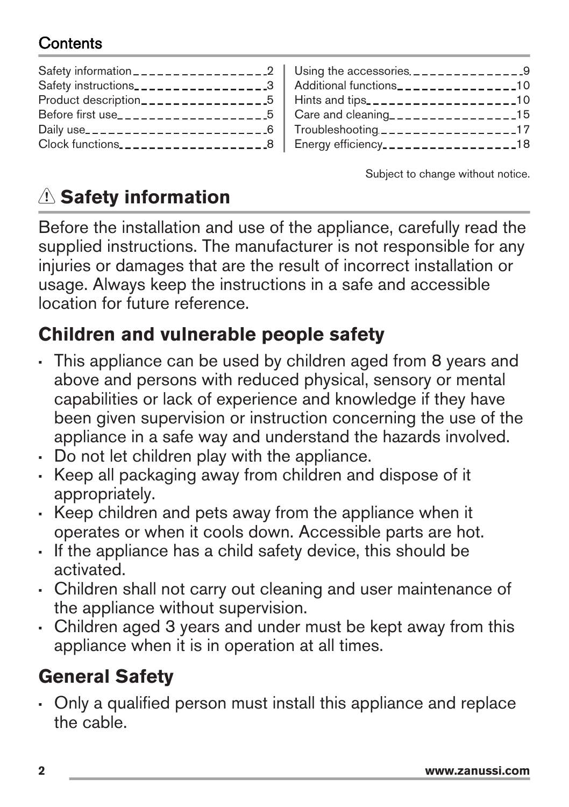# Contents

| Safety instructions___________________3 |
|-----------------------------------------|
| Product description_________________5   |
| Before first use______________________5 |
| Daily use____________________________6  |
| Clock functions8                        |
|                                         |

| Using the accessories $\frac{1}{2}$ = $\frac{1}{2}$ = $\frac{1}{2}$ = $\frac{1}{2}$ = $\frac{1}{2}$ = $\frac{1}{2}$ = $\frac{1}{2}$ = $\frac{1}{2}$ = $\frac{1}{2}$ = $\frac{1}{2}$ = $\frac{1}{2}$ = $\frac{1}{2}$ = $\frac{1}{2}$ = $\frac{1}{2}$ = $\frac{1}{2}$ = $\frac{1}{2}$ = $\frac{1}{2$ |  |
|----------------------------------------------------------------------------------------------------------------------------------------------------------------------------------------------------------------------------------------------------------------------------------------------------|--|
| Additional functions________________10                                                                                                                                                                                                                                                             |  |
| Hints and tips____________________10                                                                                                                                                                                                                                                               |  |
| Care and cleaning_________________15                                                                                                                                                                                                                                                               |  |
| Troubleshooting __________________17                                                                                                                                                                                                                                                               |  |
| Energy efficiency_________________18                                                                                                                                                                                                                                                               |  |
|                                                                                                                                                                                                                                                                                                    |  |

Subject to change without notice.

# **Safety information**

Before the installation and use of the appliance, carefully read the supplied instructions. The manufacturer is not responsible for any injuries or damages that are the result of incorrect installation or usage. Always keep the instructions in a safe and accessible location for future reference.

# **Children and vulnerable people safety**

- This appliance can be used by children aged from 8 years and above and persons with reduced physical, sensory or mental capabilities or lack of experience and knowledge if they have been given supervision or instruction concerning the use of the appliance in a safe way and understand the hazards involved.
- Do not let children play with the appliance.
- Keep all packaging away from children and dispose of it appropriately.
- Keep children and pets away from the appliance when it operates or when it cools down. Accessible parts are hot.
- If the appliance has a child safety device, this should be activated.
- Children shall not carry out cleaning and user maintenance of the appliance without supervision.
- Children aged 3 years and under must be kept away from this appliance when it is in operation at all times.

# **General Safety**

• Only a qualified person must install this appliance and replace the cable.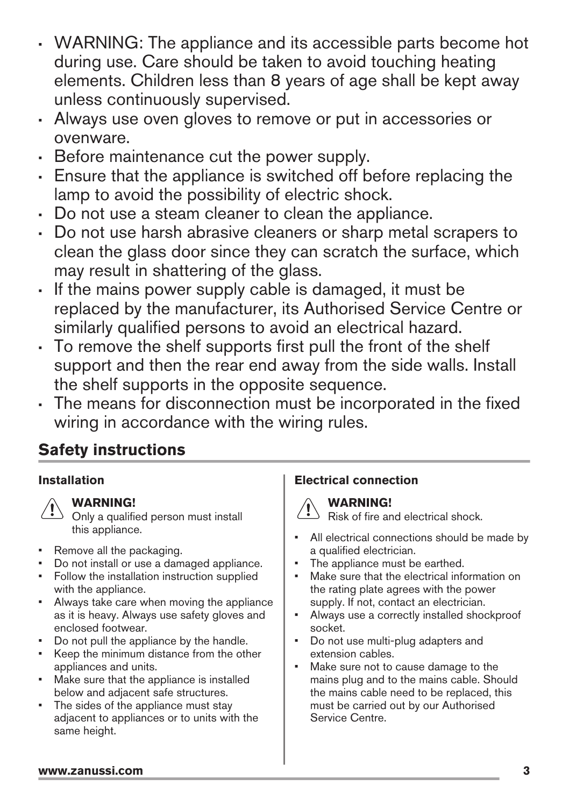- <span id="page-2-0"></span>• WARNING: The appliance and its accessible parts become hot during use. Care should be taken to avoid touching heating elements. Children less than 8 years of age shall be kept away unless continuously supervised.
- Always use oven gloves to remove or put in accessories or ovenware.
- Before maintenance cut the power supply.
- Ensure that the appliance is switched off before replacing the lamp to avoid the possibility of electric shock.
- Do not use a steam cleaner to clean the appliance.
- Do not use harsh abrasive cleaners or sharp metal scrapers to clean the glass door since they can scratch the surface, which may result in shattering of the glass.
- If the mains power supply cable is damaged, it must be replaced by the manufacturer, its Authorised Service Centre or similarly qualified persons to avoid an electrical hazard.
- To remove the shelf supports first pull the front of the shelf support and then the rear end away from the side walls. Install the shelf supports in the opposite sequence.
- The means for disconnection must be incorporated in the fixed wiring in accordance with the wiring rules.

# **Safety instructions**

#### **Installation**



Only a qualified person must install this appliance.

- Remove all the packaging.
- Do not install or use a damaged appliance.
- Follow the installation instruction supplied with the appliance.
- Always take care when moving the appliance as it is heavy. Always use safety gloves and enclosed footwear.
- Do not pull the appliance by the handle.
- Keep the minimum distance from the other appliances and units.
- Make sure that the appliance is installed below and adjacent safe structures.
- The sides of the appliance must stay adjacent to appliances or to units with the same height.

#### **Electrical connection**

# **WARNING!**

Risk of fire and electrical shock.

- All electrical connections should be made by a qualified electrician.
- The appliance must be earthed.
- Make sure that the electrical information on the rating plate agrees with the power supply. If not, contact an electrician.
- Always use a correctly installed shockproof socket.
- Do not use multi-plug adapters and extension cables.
- Make sure not to cause damage to the mains plug and to the mains cable. Should the mains cable need to be replaced, this must be carried out by our Authorised Service Centre.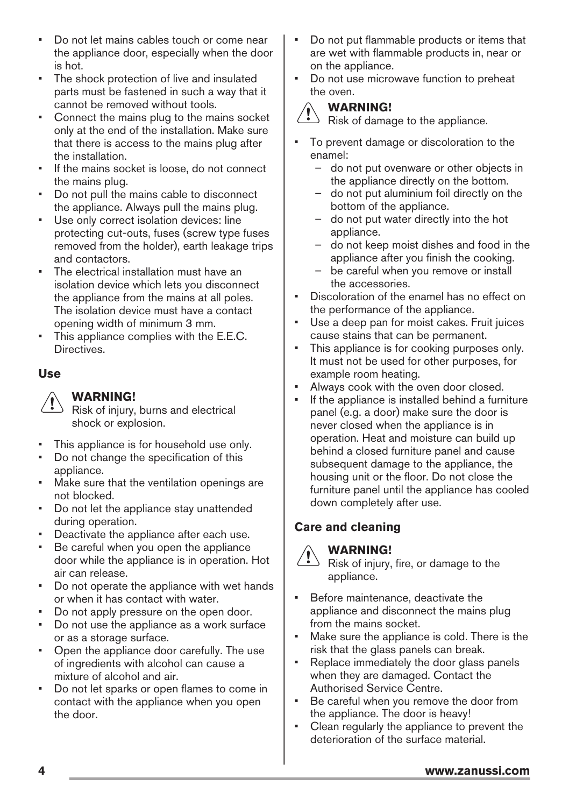- Do not let mains cables touch or come near the appliance door, especially when the door is hot.
- The shock protection of live and insulated parts must be fastened in such a way that it cannot be removed without tools.
- Connect the mains plug to the mains socket only at the end of the installation. Make sure that there is access to the mains plug after the installation.
- If the mains socket is loose, do not connect the mains plug.
- Do not pull the mains cable to disconnect the appliance. Always pull the mains plug.
- Use only correct isolation devices: line protecting cut-outs, fuses (screw type fuses removed from the holder), earth leakage trips and contactors.
- The electrical installation must have an isolation device which lets you disconnect the appliance from the mains at all poles. The isolation device must have a contact opening width of minimum 3 mm.
- This appliance complies with the E.E.C. Directives.

#### **Use**

#### **WARNING!**

 $\Diamond$  Risk of injury, burns and electrical shock or explosion.

- This appliance is for household use only.
- Do not change the specification of this appliance.
- Make sure that the ventilation openings are not blocked.
- Do not let the appliance stay unattended during operation.
- Deactivate the appliance after each use.
- Be careful when you open the appliance door while the appliance is in operation. Hot air can release.
- Do not operate the appliance with wet hands or when it has contact with water.
- Do not apply pressure on the open door.
- Do not use the appliance as a work surface or as a storage surface.
- Open the appliance door carefully. The use of ingredients with alcohol can cause a mixture of alcohol and air.
- Do not let sparks or open flames to come in contact with the appliance when you open the door.
- Do not put flammable products or items that are wet with flammable products in, near or on the appliance.
- Do not use microwave function to preheat the oven.



**WARNING!**

 $\Diamond$  Risk of damage to the appliance.

- To prevent damage or discoloration to the enamel:
	- do not put ovenware or other objects in the appliance directly on the bottom.
	- do not put aluminium foil directly on the bottom of the appliance.
	- do not put water directly into the hot appliance.
	- do not keep moist dishes and food in the appliance after you finish the cooking.
	- be careful when you remove or install the accessories.
- Discoloration of the enamel has no effect on the performance of the appliance.
- Use a deep pan for moist cakes. Fruit juices cause stains that can be permanent.
- This appliance is for cooking purposes only. It must not be used for other purposes, for example room heating.
- Always cook with the oven door closed.
- If the appliance is installed behind a furniture panel (e.g. a door) make sure the door is never closed when the appliance is in operation. Heat and moisture can build up behind a closed furniture panel and cause subsequent damage to the appliance, the housing unit or the floor. Do not close the furniture panel until the appliance has cooled down completely after use.

#### **Care and cleaning**



#### **WARNING!**

 $\Diamond$  Risk of injury, fire, or damage to the appliance.

- Before maintenance, deactivate the appliance and disconnect the mains plug from the mains socket.
- Make sure the appliance is cold. There is the risk that the glass panels can break.
- Replace immediately the door glass panels when they are damaged. Contact the Authorised Service Centre.
- Be careful when you remove the door from the appliance. The door is heavy!
- Clean regularly the appliance to prevent the deterioration of the surface material.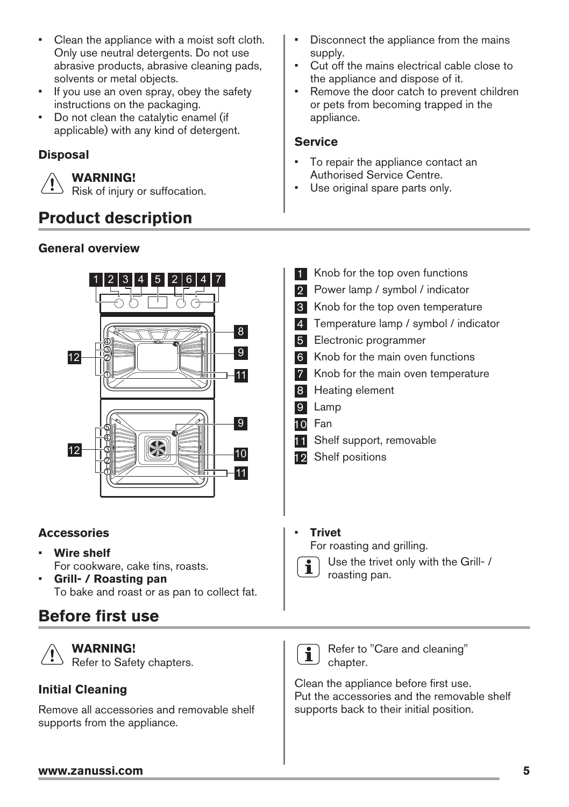- <span id="page-4-0"></span>• Clean the appliance with a moist soft cloth. Only use neutral detergents. Do not use abrasive products, abrasive cleaning pads, solvents or metal objects.
- If you use an oven spray, obey the safety instructions on the packaging.
- Do not clean the catalytic enamel (if applicable) with any kind of detergent.

#### **Disposal**

**WARNING!**

Risk of injury or suffocation.

# **Product description**

#### **General overview**



#### **Accessories**

- **Wire shelf** For cookware, cake tins, roasts.
- **Grill- / Roasting pan** To bake and roast or as pan to collect fat.

# **Before first use**



**WARNING!** Refer to Safety chapters.

#### **Initial Cleaning**

Remove all accessories and removable shelf supports from the appliance.

- Disconnect the appliance from the mains supply.
- Cut off the mains electrical cable close to the appliance and dispose of it.
- Remove the door catch to prevent children or pets from becoming trapped in the appliance.

#### **Service**

- To repair the appliance contact an Authorised Service Centre.
- Use original spare parts only.
- 1 Knob for the top oven functions 2 Power lamp / symbol / indicator **8** Knob for the top oven temperature 4 Temperature lamp / symbol / indicator 5 Electronic programmer 6 Knob for the main oven functions 7 Knob for the main oven temperature 8 Heating element 9 Lamp 10 Fan **11** Shelf support, removable 12 Shelf positions
	- **Trivet** For roasting and grilling.



Use the trivet only with the Grill- / roasting pan.



Refer to "Care and cleaning" chapter.

Clean the appliance before first use. Put the accessories and the removable shelf supports back to their initial position.

#### **www.zanussi.com 5**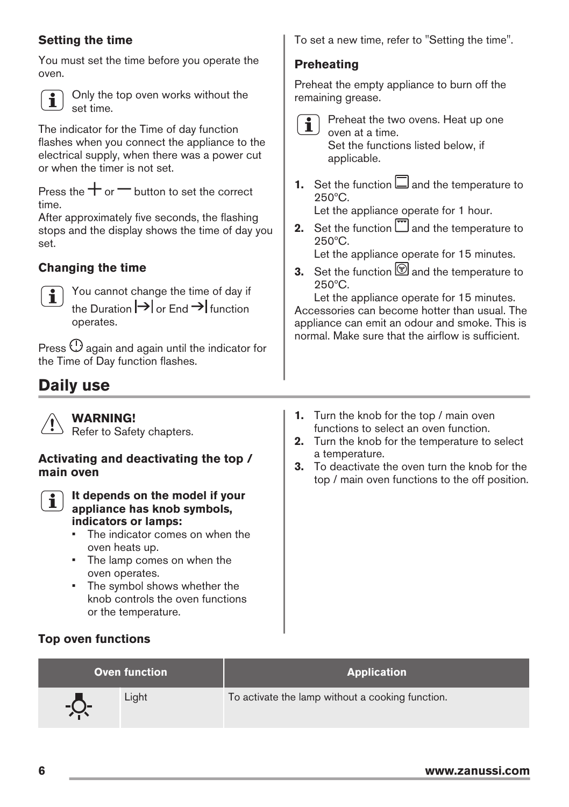#### <span id="page-5-0"></span>**Setting the time**

You must set the time before you operate the oven.



Only the top oven works without the set time.

The indicator for the Time of day function flashes when you connect the appliance to the electrical supply, when there was a power cut or when the timer is not set.

Press the  $+$  or  $-$  button to set the correct time.

After approximately five seconds, the flashing stops and the display shows the time of day you set.

#### **Changing the time**



You cannot change the time of day if the Duration  $\Rightarrow$  or End  $\Rightarrow$  function operates.

Press  $\mathbb O$  again and again until the indicator for the Time of Day function flashes.

# **Daily use**

**WARNING!** Refer to Safety chapters.

#### **Activating and deactivating the top / main oven**



#### **It depends on the model if your appliance has knob symbols, indicators or lamps:**

- The indicator comes on when the oven heats up.
- The lamp comes on when the oven operates.
- The symbol shows whether the knob controls the oven functions or the temperature.
- **Top oven functions**

To set a new time, refer to "Setting the time".

#### **Preheating**

Preheat the empty appliance to burn off the remaining grease.

- - Preheat the two ovens. Heat up one oven at a time. Set the functions listed below, if applicable.
- **1.** Set the function  $\Box$  and the temperature to 250ºC.

Let the appliance operate for 1 hour.

**2.** Set the function **a** and the temperature to 250ºC.

Let the appliance operate for 15 minutes.

**3.** Set the function **a** and the temperature to 250ºC.

Let the appliance operate for 15 minutes. Accessories can become hotter than usual. The appliance can emit an odour and smoke. This is normal. Make sure that the airflow is sufficient.

- **1.** Turn the knob for the top / main oven functions to select an oven function.
- **2.** Turn the knob for the temperature to select a temperature.
- **3.** To deactivate the oven turn the knob for the top / main oven functions to the off position.

| <b>Oven function</b> |       | <b>Application</b>                               |
|----------------------|-------|--------------------------------------------------|
|                      | Light | To activate the lamp without a cooking function. |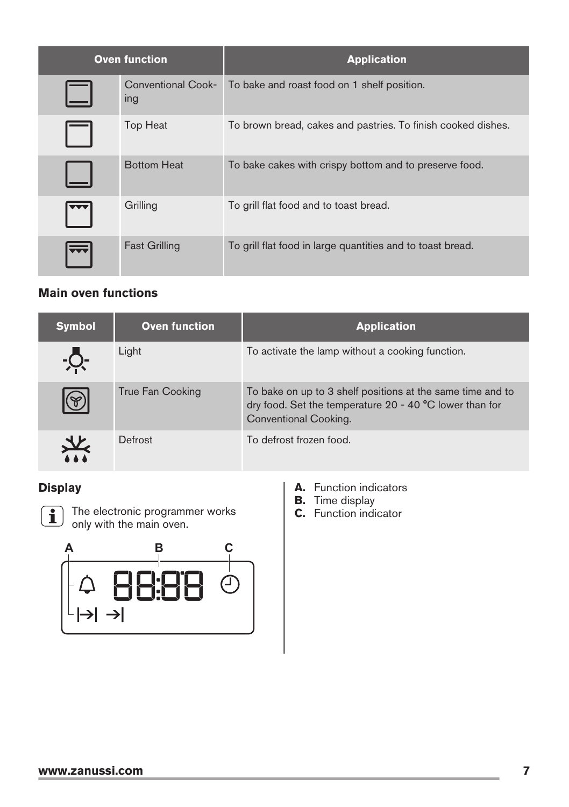| <b>Oven function</b> |                                  | <b>Application</b>                                           |
|----------------------|----------------------------------|--------------------------------------------------------------|
|                      | <b>Conventional Cook-</b><br>ing | To bake and roast food on 1 shelf position.                  |
|                      | <b>Top Heat</b>                  | To brown bread, cakes and pastries. To finish cooked dishes. |
|                      | <b>Bottom Heat</b>               | To bake cakes with crispy bottom and to preserve food.       |
|                      | Grilling                         | To grill flat food and to toast bread.                       |
|                      | <b>Fast Grilling</b>             | To grill flat food in large quantities and to toast bread.   |

#### **Main oven functions**

| <b>Symbol</b>  | <b>Oven function</b> | <b>Application</b>                                                                                                                             |
|----------------|----------------------|------------------------------------------------------------------------------------------------------------------------------------------------|
|                | Light                | To activate the lamp without a cooking function.                                                                                               |
|                | True Fan Cooking     | To bake on up to 3 shelf positions at the same time and to<br>dry food. Set the temperature 20 - 40 °C lower than for<br>Conventional Cooking. |
| $\frac{d}{dx}$ | Defrost              | To defrost frozen food.                                                                                                                        |

#### **Display**



The electronic programmer works only with the main oven.



- **A.** Function indicators
- **B.** Time display
- **C.** Function indicator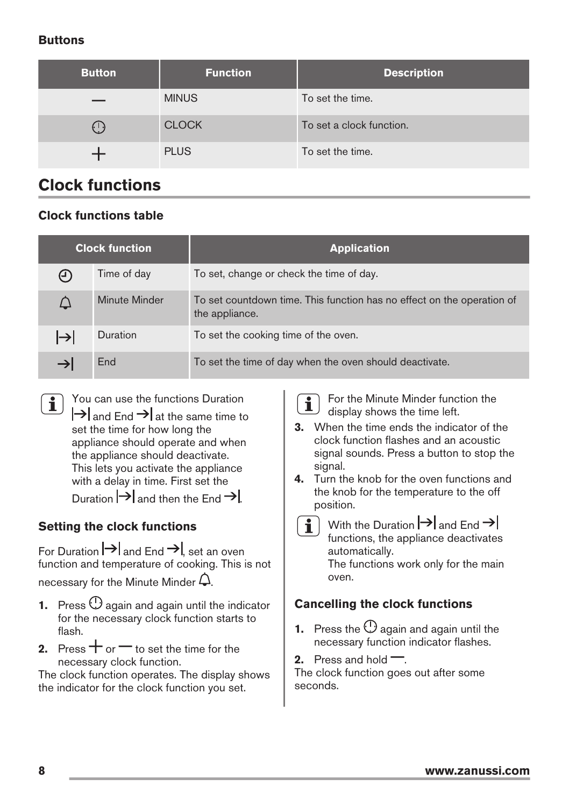#### <span id="page-7-0"></span>**Buttons**

| <b>Button</b> | <b>Function</b> | <b>Description</b>       |
|---------------|-----------------|--------------------------|
|               | <b>MINUS</b>    | To set the time.         |
| ( د )         | <b>CLOCK</b>    | To set a clock function. |
|               | <b>PLUS</b>     | To set the time.         |

# **Clock functions**

#### **Clock functions table**

| <b>Clock function</b> |               | <b>Application</b>                                                                       |  |
|-----------------------|---------------|------------------------------------------------------------------------------------------|--|
| (ገ)                   | Time of day   | To set, change or check the time of day.                                                 |  |
| $\bigwedge$           | Minute Minder | To set countdown time. This function has no effect on the operation of<br>the appliance. |  |
| $\mapsto$             | Duration      | To set the cooking time of the oven.                                                     |  |
|                       | End           | To set the time of day when the oven should deactivate.                                  |  |

You can use the functions Duration  $\mathbf{i}$  $\left| \rightarrow \right|$  and End  $\rightarrow$  at the same time to set the time for how long the appliance should operate and when the appliance should deactivate. This lets you activate the appliance with a delay in time. First set the

Duration  $\rightarrow$  and then the End  $\rightarrow$ 

#### **Setting the clock functions**

For Duration  $\rightarrow$  and End  $\rightarrow$  set an oven function and temperature of cooking. This is not necessary for the Minute Minder  $\Delta$ .

- **1.** Press  $\bigcirc$  again and again until the indicator for the necessary clock function starts to flash.
- **2.** Press  $+$  or  $-$  to set the time for the necessary clock function.

The clock function operates. The display shows the indicator for the clock function you set.

 $\mathbf i$ 

For the Minute Minder function the display shows the time left.

- **3.** When the time ends the indicator of the clock function flashes and an acoustic signal sounds. Press a button to stop the signal.
- **4.** Turn the knob for the oven functions and the knob for the temperature to the off position.
	- $\mathbf i$

With the Duration  $\rightarrow$  and End  $\rightarrow$ functions, the appliance deactivates automatically. The functions work only for the main oven.

#### **Cancelling the clock functions**

- **1.** Press the  $\mathbb O$  again and again until the necessary function indicator flashes.
- **2.** Press and hold  $\overline{\phantom{a}}$ .

The clock function goes out after some seconds.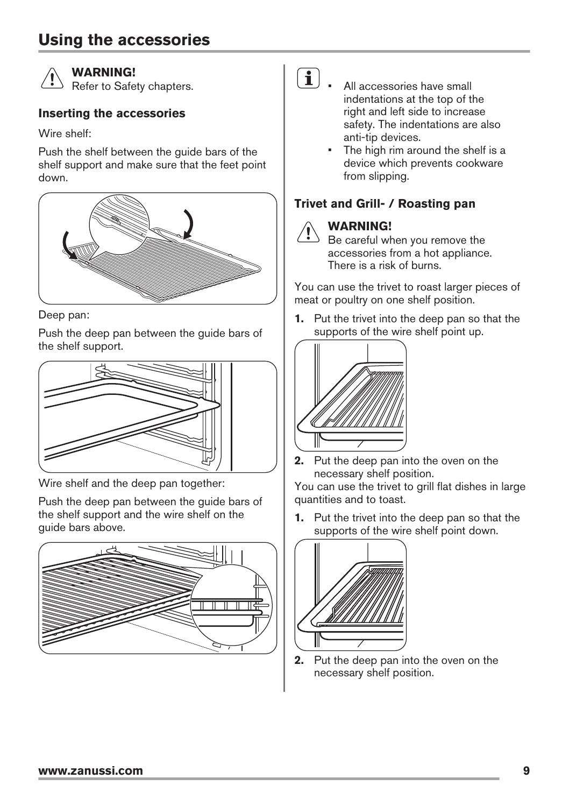## <span id="page-8-0"></span>**Using the accessories**



#### **WARNING!**

Refer to Safety chapters.

#### **Inserting the accessories**

Wire shelf:

Push the shelf between the guide bars of the shelf support and make sure that the feet point down.



Deep pan:

Push the deep pan between the guide bars of the shelf support.



Wire shelf and the deep pan together:

Push the deep pan between the guide bars of the shelf support and the wire shelf on the guide bars above.



#### $\left| \textbf{1} \right|$   $\blacksquare$  All accessories have small indentations at the top of the right and left side to increase safety. The indentations are also anti-tip devices.

The high rim around the shelf is a device which prevents cookware from slipping.

#### **Trivet and Grill- / Roasting pan**

### **WARNING!**

 $\Diamond$  Be careful when you remove the accessories from a hot appliance. There is a risk of burns.

You can use the trivet to roast larger pieces of meat or poultry on one shelf position.

**1.** Put the trivet into the deep pan so that the supports of the wire shelf point up.



**2.** Put the deep pan into the oven on the necessary shelf position.

You can use the trivet to grill flat dishes in large quantities and to toast.

**1.** Put the trivet into the deep pan so that the supports of the wire shelf point down.



**2.** Put the deep pan into the oven on the necessary shelf position.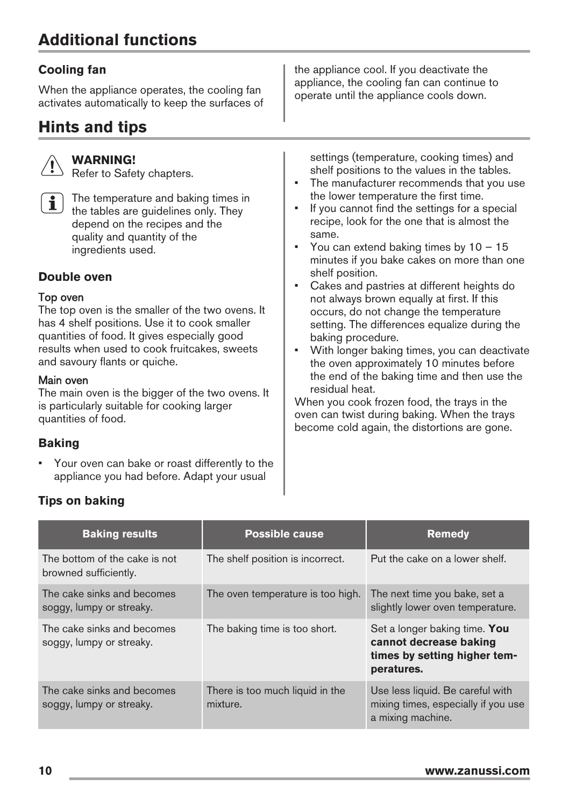# <span id="page-9-0"></span>**Additional functions**

#### **Cooling fan**

When the appliance operates, the cooling fan activates automatically to keep the surfaces of

# **Hints and tips**

#### **WARNING!**

Refer to Safety chapters.



The temperature and baking times in the tables are guidelines only. They depend on the recipes and the quality and quantity of the ingredients used.

#### **Double oven**

#### Top oven

The top oven is the smaller of the two ovens. It has 4 shelf positions. Use it to cook smaller quantities of food. It gives especially good results when used to cook fruitcakes, sweets and savoury flants or quiche.

#### Main oven

The main oven is the bigger of the two ovens. It is particularly suitable for cooking larger quantities of food.

#### **Baking**

• Your oven can bake or roast differently to the appliance you had before. Adapt your usual

the appliance cool. If you deactivate the appliance, the cooling fan can continue to operate until the appliance cools down.

settings (temperature, cooking times) and shelf positions to the values in the tables.

- The manufacturer recommends that you use the lower temperature the first time.
- If you cannot find the settings for a special recipe, look for the one that is almost the same.
- You can extend baking times by  $10 15$ minutes if you bake cakes on more than one shelf position.
- Cakes and pastries at different heights do not always brown equally at first. If this occurs, do not change the temperature setting. The differences equalize during the baking procedure.
- With longer baking times, you can deactivate the oven approximately 10 minutes before the end of the baking time and then use the residual heat.

When you cook frozen food, the trays in the oven can twist during baking. When the trays become cold again, the distortions are gone.

#### **Baking results COVE COVERSIBLE POSSIble cause COVER THE REMEDY Remedy** The bottom of the cake is not browned sufficiently. The shelf position is incorrect. Put the cake on a lower shelf. The cake sinks and becomes soggy, lumpy or streaky. The oven temperature is too high. The next time you bake, set a slightly lower oven temperature. The cake sinks and becomes soggy, lumpy or streaky. The baking time is too short. Set a longer baking time. You **cannot decrease baking times by setting higher temperatures.** The cake sinks and becomes soggy, lumpy or streaky. There is too much liquid in the mixture. Use less liquid. Be careful with mixing times, especially if you use a mixing machine.

#### **Tips on baking**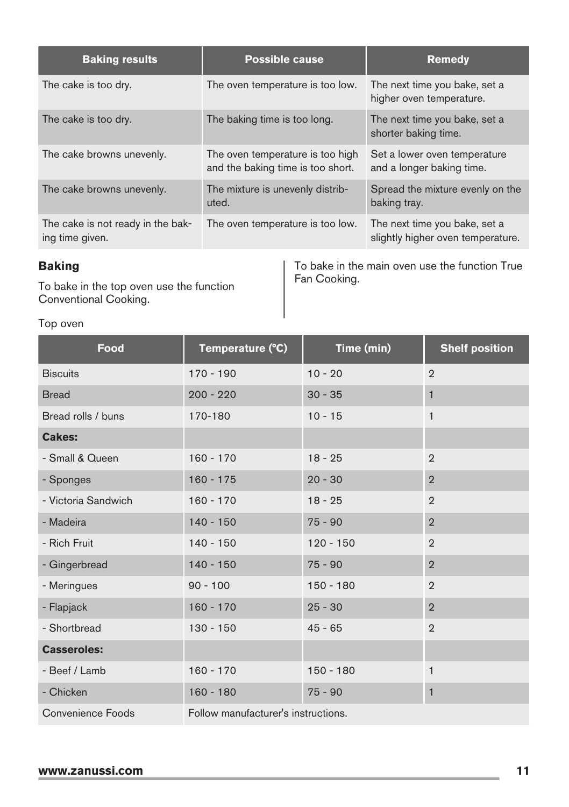| <b>Baking results</b>                                | <b>Possible cause</b>                                                 | <b>Remedy</b>                                                      |
|------------------------------------------------------|-----------------------------------------------------------------------|--------------------------------------------------------------------|
| The cake is too dry.                                 | The oven temperature is too low.                                      | The next time you bake, set a<br>higher oven temperature.          |
| The cake is too dry.                                 | The baking time is too long.                                          | The next time you bake, set a<br>shorter baking time.              |
| The cake browns unevenly.                            | The oven temperature is too high<br>and the baking time is too short. | Set a lower oven temperature<br>and a longer baking time.          |
| The cake browns unevenly.                            | The mixture is unevenly distrib-<br>uted.                             | Spread the mixture evenly on the<br>baking tray.                   |
| The cake is not ready in the bak-<br>ing time given. | The oven temperature is too low.                                      | The next time you bake, set a<br>slightly higher oven temperature. |

#### **Baking**

To bake in the top oven use the function Conventional Cooking.

To bake in the main oven use the function True Fan Cooking.

#### Top oven

| Food                | Temperature (°C)                    | Time (min)  | <b>Shelf position</b> |
|---------------------|-------------------------------------|-------------|-----------------------|
| <b>Biscuits</b>     | $170 - 190$                         | $10 - 20$   | $\overline{2}$        |
| <b>Bread</b>        | $200 - 220$                         | $30 - 35$   | 1                     |
| Bread rolls / buns  | 170-180                             | $10 - 15$   | $\mathbf{1}$          |
| <b>Cakes:</b>       |                                     |             |                       |
| - Small & Queen     | $160 - 170$                         | $18 - 25$   | $\overline{2}$        |
| - Sponges           | $160 - 175$                         | $20 - 30$   | $\overline{2}$        |
| - Victoria Sandwich | $160 - 170$                         | $18 - 25$   | $\overline{2}$        |
| - Madeira           | $140 - 150$                         | $75 - 90$   | $\overline{2}$        |
| - Rich Fruit        | $140 - 150$                         | $120 - 150$ | $\overline{2}$        |
| - Gingerbread       | $140 - 150$                         | $75 - 90$   | $\overline{2}$        |
| - Meringues         | $90 - 100$                          | $150 - 180$ | $\overline{2}$        |
| - Flapjack          | $160 - 170$                         | $25 - 30$   | $\overline{2}$        |
| - Shortbread        | $130 - 150$                         | $45 - 65$   | $\overline{2}$        |
| <b>Casseroles:</b>  |                                     |             |                       |
| - Beef / Lamb       | $160 - 170$                         | $150 - 180$ | 1                     |
| - Chicken           | $160 - 180$                         | $75 - 90$   | 1                     |
| Convenience Foods   | Follow manufacturer's instructions. |             |                       |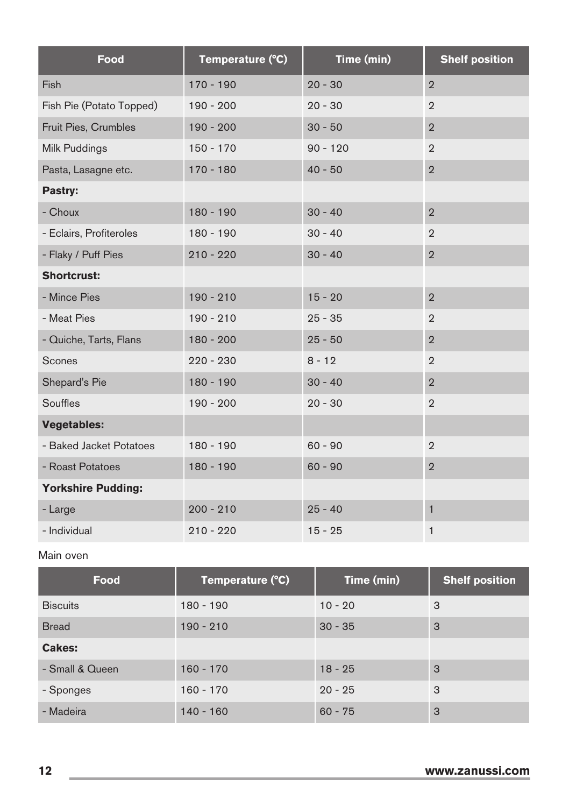| Food                      | Temperature (°C) | Time (min) | <b>Shelf position</b> |
|---------------------------|------------------|------------|-----------------------|
| Fish                      | $170 - 190$      | $20 - 30$  | $\overline{2}$        |
| Fish Pie (Potato Topped)  | $190 - 200$      | $20 - 30$  | $\overline{2}$        |
| Fruit Pies, Crumbles      | $190 - 200$      | $30 - 50$  | $\overline{2}$        |
| Milk Puddings             | $150 - 170$      | $90 - 120$ | $\overline{2}$        |
| Pasta, Lasagne etc.       | $170 - 180$      | $40 - 50$  | $\overline{2}$        |
| Pastry:                   |                  |            |                       |
| - Choux                   | $180 - 190$      | $30 - 40$  | $\overline{2}$        |
| - Eclairs, Profiteroles   | $180 - 190$      | $30 - 40$  | $\overline{2}$        |
| - Flaky / Puff Pies       | $210 - 220$      | $30 - 40$  | $\overline{2}$        |
| <b>Shortcrust:</b>        |                  |            |                       |
| - Mince Pies              | $190 - 210$      | $15 - 20$  | $\overline{2}$        |
| - Meat Pies               | $190 - 210$      | $25 - 35$  | $\overline{2}$        |
| - Quiche, Tarts, Flans    | $180 - 200$      | $25 - 50$  | $\overline{2}$        |
| Scones                    | $220 - 230$      | $8 - 12$   | $\overline{2}$        |
| Shepard's Pie             | $180 - 190$      | $30 - 40$  | $\overline{2}$        |
| Souffles                  | $190 - 200$      | $20 - 30$  | $\overline{2}$        |
| <b>Vegetables:</b>        |                  |            |                       |
| - Baked Jacket Potatoes   | $180 - 190$      | $60 - 90$  | $\overline{2}$        |
| - Roast Potatoes          | $180 - 190$      | $60 - 90$  | $\overline{2}$        |
| <b>Yorkshire Pudding:</b> |                  |            |                       |
| - Large                   | $200 - 210$      | $25 - 40$  | $\mathbf{1}$          |
| - Individual              | $210 - 220$      | $15 - 25$  | 1                     |

#### Main oven

| Food            | Temperature (°C) | Time (min) | <b>Shelf position</b> |
|-----------------|------------------|------------|-----------------------|
| <b>Biscuits</b> | $180 - 190$      | $10 - 20$  | 3                     |
| <b>Bread</b>    | $190 - 210$      | $30 - 35$  | 3                     |
| Cakes:          |                  |            |                       |
| - Small & Queen | $160 - 170$      | $18 - 25$  | 3                     |
| - Sponges       | $160 - 170$      | $20 - 25$  | 3                     |
| - Madeira       | $140 - 160$      | $60 - 75$  | 3                     |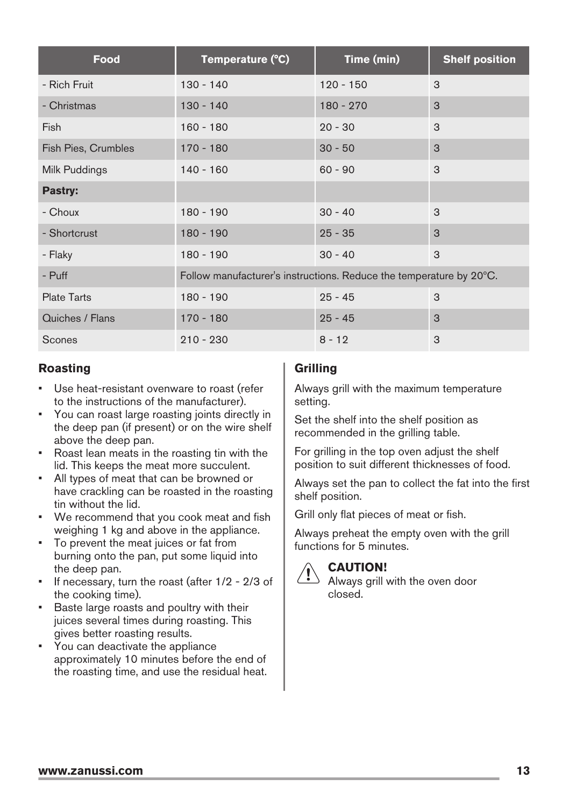| Food                | Temperature (°C)                                                    | Time (min)  | <b>Shelf position</b> |
|---------------------|---------------------------------------------------------------------|-------------|-----------------------|
| - Rich Fruit        | $130 - 140$                                                         | $120 - 150$ | 3                     |
| - Christmas         | $130 - 140$                                                         | $180 - 270$ | 3                     |
| Fish                | $160 - 180$                                                         | $20 - 30$   | 3                     |
| Fish Pies, Crumbles | $170 - 180$                                                         | $30 - 50$   | 3                     |
| Milk Puddings       | $140 - 160$                                                         | $60 - 90$   | 3                     |
| Pastry:             |                                                                     |             |                       |
| - Choux             | $180 - 190$                                                         | $30 - 40$   | 3                     |
| - Shortcrust        | $180 - 190$                                                         | $25 - 35$   | 3                     |
| - Flaky             | $180 - 190$                                                         | $30 - 40$   | 3                     |
| - Puff              | Follow manufacturer's instructions. Reduce the temperature by 20°C. |             |                       |
| <b>Plate Tarts</b>  | $180 - 190$                                                         | $25 - 45$   | 3                     |
| Quiches / Flans     | $170 - 180$                                                         | $25 - 45$   | 3                     |
| Scones              | $210 - 230$                                                         | $8 - 12$    | 3                     |

#### **Roasting**

- Use heat-resistant ovenware to roast (refer to the instructions of the manufacturer).
- You can roast large roasting joints directly in the deep pan (if present) or on the wire shelf above the deep pan.
- Roast lean meats in the roasting tin with the lid. This keeps the meat more succulent.
- All types of meat that can be browned or have crackling can be roasted in the roasting tin without the lid.
- We recommend that you cook meat and fish weighing 1 kg and above in the appliance.
- To prevent the meat juices or fat from burning onto the pan, put some liquid into the deep pan.
- If necessary, turn the roast (after 1/2 2/3 of the cooking time).
- Baste large roasts and poultry with their juices several times during roasting. This gives better roasting results.
- You can deactivate the appliance approximately 10 minutes before the end of the roasting time, and use the residual heat.

#### **Grilling**

Always grill with the maximum temperature setting.

Set the shelf into the shelf position as recommended in the grilling table.

For grilling in the top oven adjust the shelf position to suit different thicknesses of food.

Always set the pan to collect the fat into the first shelf position.

Grill only flat pieces of meat or fish.

Always preheat the empty oven with the grill functions for 5 minutes.



#### **CAUTION!**

Always grill with the oven door closed.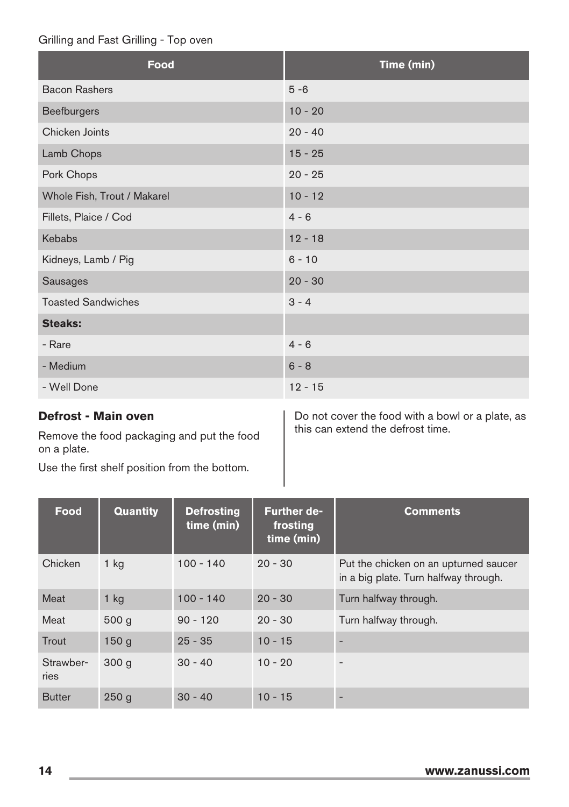#### Grilling and Fast Grilling - Top oven

| Food                        | Time (min) |
|-----------------------------|------------|
| <b>Bacon Rashers</b>        | $5 - 6$    |
| <b>Beefburgers</b>          | $10 - 20$  |
| Chicken Joints              | $20 - 40$  |
| Lamb Chops                  | $15 - 25$  |
| Pork Chops                  | $20 - 25$  |
| Whole Fish, Trout / Makarel | $10 - 12$  |
| Fillets, Plaice / Cod       | $4 - 6$    |
| Kebabs                      | $12 - 18$  |
| Kidneys, Lamb / Pig         | $6 - 10$   |
| Sausages                    | $20 - 30$  |
| <b>Toasted Sandwiches</b>   | $3 - 4$    |
| <b>Steaks:</b>              |            |
| - Rare                      | $4 - 6$    |
| - Medium                    | $6 - 8$    |
| - Well Done                 | $12 - 15$  |

#### **Defrost - Main oven**

Remove the food packaging and put the food on a plate.

Use the first shelf position from the bottom.

Do not cover the food with a bowl or a plate, as this can extend the defrost time.

| Food              | <b>Quantity</b>  | <b>Defrosting</b><br>time (min) | <b>Further de-</b><br>frosting<br>time (min) | <b>Comments</b>                                                                |
|-------------------|------------------|---------------------------------|----------------------------------------------|--------------------------------------------------------------------------------|
| Chicken           | $1$ kg           | $100 - 140$                     | $20 - 30$                                    | Put the chicken on an upturned saucer<br>in a big plate. Turn halfway through. |
| Meat              | $1$ kg           | $100 - 140$                     | $20 - 30$                                    | Turn halfway through.                                                          |
| Meat              | 500q             | $90 - 120$                      | $20 - 30$                                    | Turn halfway through.                                                          |
| Trout             | 150 <sub>g</sub> | $25 - 35$                       | $10 - 15$                                    |                                                                                |
| Strawber-<br>ries | 300 <sub>q</sub> | $30 - 40$                       | $10 - 20$                                    | $\qquad \qquad -$                                                              |
| <b>Butter</b>     | 250 <sub>g</sub> | $30 - 40$                       | $10 - 15$                                    |                                                                                |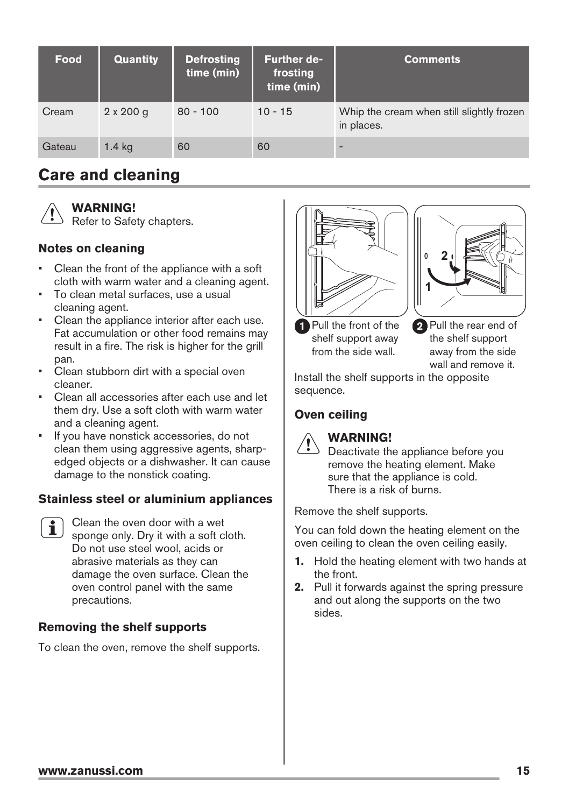<span id="page-14-0"></span>

| Food   | <b>Quantity</b>  | <b>Defrosting</b><br>time (min) | <b>Further de-</b><br>frosting<br>time (min) | <b>Comments</b>                                         |
|--------|------------------|---------------------------------|----------------------------------------------|---------------------------------------------------------|
| Cream  | $2 \times 200$ g | $80 - 100$                      | $10 - 15$                                    | Whip the cream when still slightly frozen<br>in places. |
| Gateau | $1.4$ kg         | 60                              | 60                                           | -                                                       |

# **Care and cleaning**



#### **WARNING!**

Refer to Safety chapters.

#### **Notes on cleaning**

- Clean the front of the appliance with a soft cloth with warm water and a cleaning agent.
- To clean metal surfaces, use a usual cleaning agent.
- Clean the appliance interior after each use. Fat accumulation or other food remains may result in a fire. The risk is higher for the grill pan.
- Clean stubborn dirt with a special oven cleaner.
- Clean all accessories after each use and let them dry. Use a soft cloth with warm water and a cleaning agent.
- If you have nonstick accessories, do not clean them using aggressive agents, sharpedged objects or a dishwasher. It can cause damage to the nonstick coating.

#### **Stainless steel or aluminium appliances**

Clean the oven door with a wet  $\mathbf i$ sponge only. Dry it with a soft cloth. Do not use steel wool, acids or abrasive materials as they can damage the oven surface. Clean the oven control panel with the same precautions.

#### **Removing the shelf supports**

To clean the oven, remove the shelf supports.





Pull the front of the shelf support away from the side wall. **1**

Pull the rear end of **2** the shelf support away from the side wall and remove it.

Install the shelf supports in the opposite sequence.

#### **Oven ceiling**



#### **WARNING!**

Deactivate the appliance before you remove the heating element. Make sure that the appliance is cold. There is a risk of burns.

Remove the shelf supports.

You can fold down the heating element on the oven ceiling to clean the oven ceiling easily.

- **1.** Hold the heating element with two hands at the front.
- **2.** Pull it forwards against the spring pressure and out along the supports on the two sides.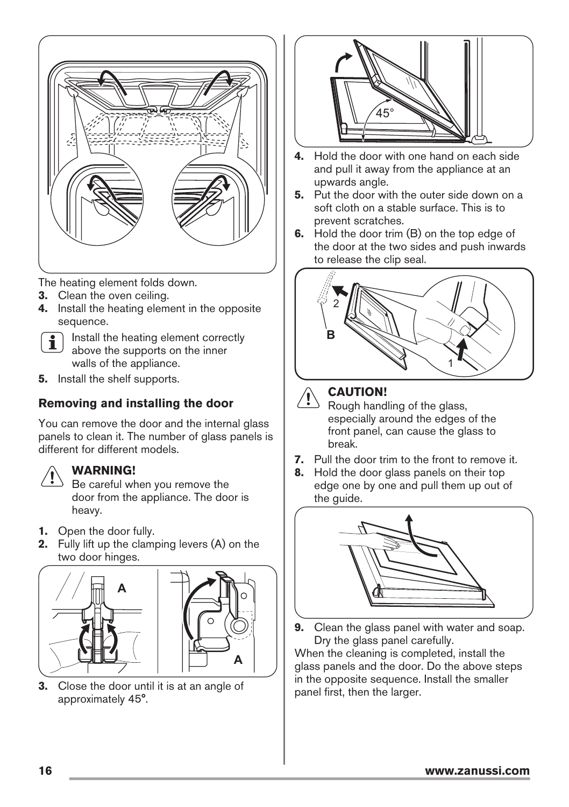

The heating element folds down.

- **3.** Clean the oven ceiling.
- **4.** Install the heating element in the opposite sequence.

Install the heating element correctly i above the supports on the inner walls of the appliance.

**5.** Install the shelf supports.

#### **Removing and installing the door**

You can remove the door and the internal glass panels to clean it. The number of glass panels is different for different models.



#### **WARNING!**

Be careful when you remove the door from the appliance. The door is heavy.

- **1.** Open the door fully.
- **2.** Fully lift up the clamping levers (A) on the two door hinges.





**3.** Close the door until it is at an angle of approximately 45°.



- **4.** Hold the door with one hand on each side and pull it away from the appliance at an upwards angle.
- **5.** Put the door with the outer side down on a soft cloth on a stable surface. This is to prevent scratches.
- **6.** Hold the door trim (B) on the top edge of the door at the two sides and push inwards to release the clip seal.





#### **CAUTION!**

Rough handling of the glass, especially around the edges of the front panel, can cause the glass to break.

- **7.** Pull the door trim to the front to remove it.
- **8.** Hold the door glass panels on their top edge one by one and pull them up out of the guide.



**9.** Clean the glass panel with water and soap. Dry the glass panel carefully.

When the cleaning is completed, install the glass panels and the door. Do the above steps in the opposite sequence. Install the smaller panel first, then the larger.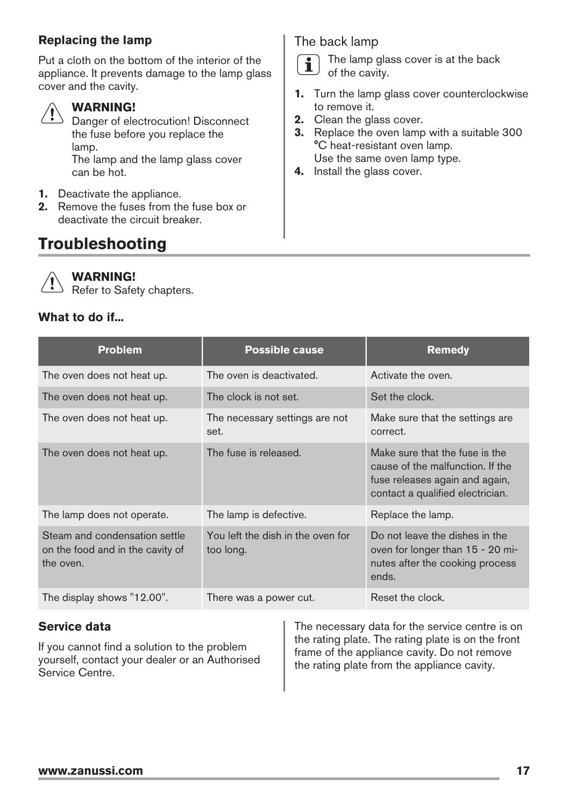#### <span id="page-16-0"></span>**Replacing the lamp**

Put a cloth on the bottom of the interior of the appliance. It prevents damage to the lamp glass cover and the cavity.

#### **WARNING!**

Danger of electrocution! Disconnect the fuse before you replace the lamp.

The lamp and the lamp glass cover can be hot.

- **1.** Deactivate the appliance.
- **2.** Remove the fuses from the fuse box or deactivate the circuit breaker.

# **Troubleshooting**

The back lamp

The lamp glass cover is at the back  $\mathbf i$ of the cavity.

- **1.** Turn the lamp glass cover counterclockwise to remove it.
- **2.** Clean the glass cover.
- **3.** Replace the oven lamp with a suitable 300 °C heat-resistant oven lamp. Use the same oven lamp type.
- **4.** Install the glass cover.



#### **WARNING!**

Refer to Safety chapters.

#### **What to do if...**

| <b>Problem</b>                                                                 | <b>Possible cause</b>                          | <b>Remedy</b>                                                                                                                            |
|--------------------------------------------------------------------------------|------------------------------------------------|------------------------------------------------------------------------------------------------------------------------------------------|
| The oven does not heat up.                                                     | The oven is deactivated.                       | Activate the oven.                                                                                                                       |
| The oven does not heat up.                                                     | The clock is not set.                          | Set the clock.                                                                                                                           |
| The oven does not heat up.                                                     | The necessary settings are not<br>set.         | Make sure that the settings are<br>correct.                                                                                              |
| The oven does not heat up.                                                     | The fuse is released.                          | Make sure that the fuse is the<br>cause of the malfunction. If the<br>fuse releases again and again,<br>contact a qualified electrician. |
| The lamp does not operate.                                                     | The lamp is defective.                         | Replace the lamp.                                                                                                                        |
| Steam and condensation settle<br>on the food and in the cavity of<br>the oven. | You left the dish in the oven for<br>too long. | Do not leave the dishes in the<br>oven for longer than 15 - 20 mi-<br>nutes after the cooking process<br>ends.                           |
| The display shows "12.00".                                                     | There was a power cut.                         | Reset the clock.                                                                                                                         |

#### **Service data**

If you cannot find a solution to the problem yourself, contact your dealer or an Authorised Service Centre.

The necessary data for the service centre is on the rating plate. The rating plate is on the front frame of the appliance cavity. Do not remove the rating plate from the appliance cavity.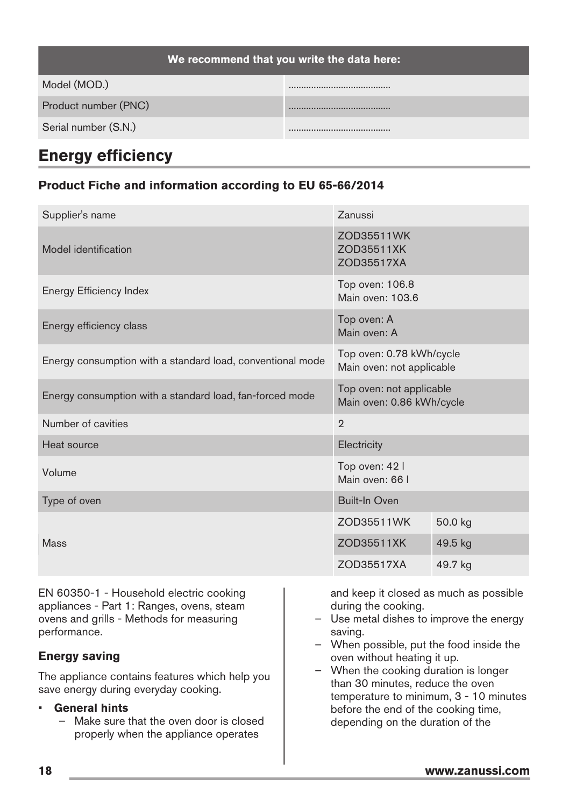<span id="page-17-0"></span>

| We recommend that you write the data here: |  |  |
|--------------------------------------------|--|--|
| Model (MOD.)                               |  |  |
| Product number (PNC)                       |  |  |
| Serial number (S.N.)                       |  |  |

## **Energy efficiency**

#### **Product Fiche and information according to EU 65-66/2014**

| Supplier's name                                                                                                                                  |                                                                                                                                                                | Zanussi                                               |         |  |
|--------------------------------------------------------------------------------------------------------------------------------------------------|----------------------------------------------------------------------------------------------------------------------------------------------------------------|-------------------------------------------------------|---------|--|
|                                                                                                                                                  |                                                                                                                                                                | ZOD35511WK                                            |         |  |
| Model identification                                                                                                                             |                                                                                                                                                                | ZOD35511XK<br>ZOD35517XA                              |         |  |
| Energy Efficiency Index                                                                                                                          |                                                                                                                                                                | Top oven: 106.8<br>Main oven: 103.6                   |         |  |
| Energy efficiency class                                                                                                                          |                                                                                                                                                                | Top oven: A<br>Main oven: A                           |         |  |
| Energy consumption with a standard load, conventional mode                                                                                       |                                                                                                                                                                | Top oven: 0.78 kWh/cycle<br>Main oven: not applicable |         |  |
| Energy consumption with a standard load, fan-forced mode                                                                                         |                                                                                                                                                                | Top oven: not applicable<br>Main oven: 0.86 kWh/cycle |         |  |
| Number of cavities                                                                                                                               |                                                                                                                                                                | $\overline{2}$                                        |         |  |
| <b>Heat source</b>                                                                                                                               |                                                                                                                                                                | Electricity                                           |         |  |
| Volume                                                                                                                                           |                                                                                                                                                                | Top oven: 42  <br>Main oven: 66 I                     |         |  |
| Type of oven                                                                                                                                     |                                                                                                                                                                | <b>Built-In Oven</b>                                  |         |  |
| <b>Mass</b>                                                                                                                                      |                                                                                                                                                                | ZOD35511WK                                            | 50.0 kg |  |
|                                                                                                                                                  |                                                                                                                                                                | ZOD35511XK                                            | 49.5 kg |  |
|                                                                                                                                                  |                                                                                                                                                                | ZOD35517XA                                            | 49.7 kg |  |
| EN 60350-1 - Household electric cooking<br>appliances - Part 1: Ranges, ovens, steam<br>ovens and grills - Methods for measuring<br>performance. | and keep it closed as much as possible<br>during the cooking.<br>Use metal dishes to improve the energy<br>saving.<br>- When possible, put the food inside the |                                                       |         |  |
| <b>Energy saving</b>                                                                                                                             |                                                                                                                                                                | oven without heating it up.                           |         |  |

The appliance contains features which help you save energy during everyday cooking.

#### • **General hints**

- Make sure that the oven door is closed properly when the appliance operates
- When the cooking duration is longer than 30 minutes, reduce the oven temperature to minimum, 3 - 10 minutes before the end of the cooking time, depending on the duration of the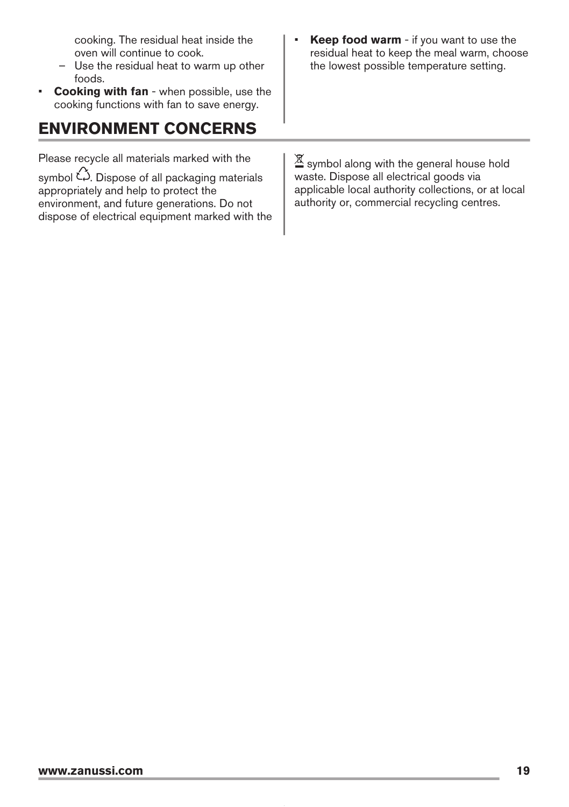cooking. The residual heat inside the oven will continue to cook.

- Use the residual heat to warm up other foods.
- **Cooking with fan** when possible, use the cooking functions with fan to save energy.

# **ENVIRONMENT CONCERNS**

Please recycle all materials marked with the

symbol  $\hat{\omega}$ . Dispose of all packaging materials appropriately and help to protect the environment, and future generations. Do not dispose of electrical equipment marked with the **Keep food warm** - if you want to use the residual heat to keep the meal warm, choose the lowest possible temperature setting.

区 symbol along with the general house hold waste. Dispose all electrical goods via applicable local authority collections, or at local authority or, commercial recycling centres.